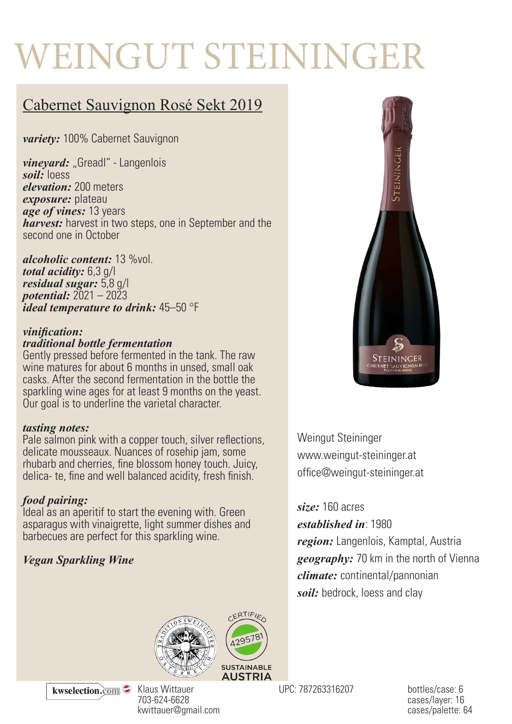# WEINGUT STEININGER

## Cabernet Sauvignon Rosé Sekt 2019

*variety:* 100% Cabernet Sauvignon

*vineyard: "Greadl" - Langenlois soil:* loess *elevation:* 200 meters *exposure:* plateau *age of vines:* 13 years *harvest:* harvest in two steps, one in September and the second one in October

*alcoholic content:* 13 %vol. *total acidity:* 6,3 g/l *residual sugar:* 5,8 g/l *potential:* 2021 – 2023 *ideal temperature to drink:* 45–50 °F

#### *vinification: traditional bottle fermentation*

Gently pressed before fermented in the tank. The raw wine matures for about 6 months in unsed, small oak casks. After the second fermentation in the bottle the sparkling wine ages for at least 9 months on the yeast. Our goal is to underline the varietal character.

#### *tasting notes:*

Pale salmon pink with a copper touch, silver reflections, delicate mousseaux. Nuances of rosehip jam, some rhubarb and cherries, fine blossom honey touch. Juicy, delica- te, fine and well balanced acidity, fresh finish.

#### *food pairing:*

Ideal as an aperitif to start the evening with. Green asparagus with vinaigrette, light summer dishes and barbecues are perfect for this sparkling wine.

### *Vegan Sparkling Wine*





703-624-6628 kwittauer@gmail.com

UPC: 787263316207 bottles/case: 6



Weingut Steininger www.weingut-steininger.at office@weingut-steininger.at

#### *size:* 160 acres

*established in*: 1980

*region:* Langenlois, Kamptal, Austria *geography:* 70 km in the north of Vienna *climate:* continental/pannonian *soil:* bedrock, loess and clay